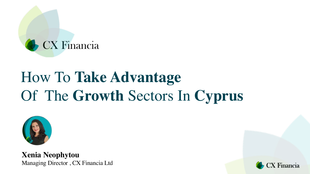

# How To **Take Advantage**  Of The **Growth** Sectors In **Cyprus**



**Xenia Neophytou** Managing Director , CX Financia Ltd

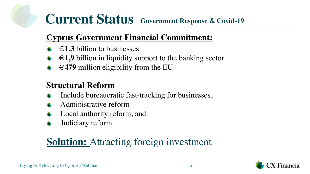## **Current Status Government Response & Covid-19**

### **Cyprus Government Financial Commitment:**

- **€1,3** billion to businesses
- **€1,9** billion in liquidity support to the banking sector
- **€479** million eligibility from the EU

### **Structural Reform**

- Include bureaucratic fast-tracking for businesses,
- Administrative reform
- Local authority reform, and
- Judiciary reform

### **Solution:** Attracting foreign investment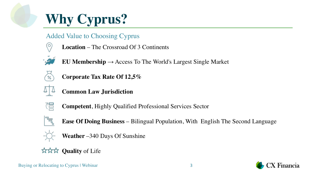# **Why Cyprus?**

- Added Value to Choosing Cyprus
	- **Location** The Crossroad Of 3 Continents



**EU Membership** → Access To The World's Largest Single Market



**Corporate Tax Rate Of 12,5%**



**Common Law Jurisdiction** 



**Competent**, Highly Qualified Professional Services Sector



**Ease Of Doing Business** – Bilingual Population, With English The Second Language



- 
- **Weather** –340 Days Of Sunshine

#### **☆☆☆ Quality** of Life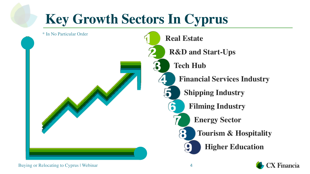

Buying or Relocating to Cyprus | Webinar 4

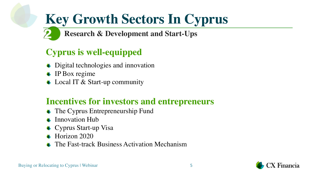**Research & Development and Start-Ups**

### **Cyprus is well-equipped**

- Digital technologies and innovation
- IP Box regime
- Local IT & Start-up community

### **Incentives for investors and entrepreneurs**

- The Cyprus Entrepreneurship Fund
- Innovation Hub
- Cyprus Start-up Visa
- Horizon 2020
- The Fast-track Business Activation Mechanism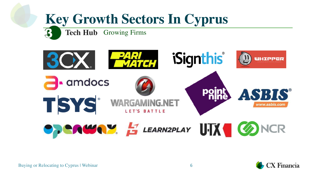**Tech Hub** Growing Firms





Buying or Relocating to Cyprus | Webinar 6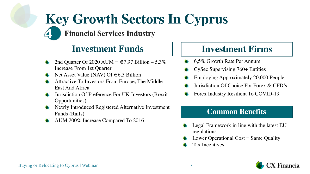**Financial Services Industry**

### **Investment Funds**

- 2nd Quarter Of 2020 AUM =  $\text{\textsterling}7.97$  Billion 5.3% Increase From 1st Quarter
- Net Asset Value (NAV) Of  $\in 6.3$  Billion
- Attractive To Investors From Europe, The Middle East And Africa
- Jurisdiction Of Preference For UK Investors (Brexit Opportunities)
- Newly Introduced Registered Alternative Investment Funds (Raifs)
- AUM 200% Increase Compared To 2016

### **Investment Firms**

- 6,5% Growth Rate Per Annum
- CySec Supervising 760+ Entities
- Employing Approximately 20,000 People
- Jurisdiction Of Choice For Forex & CFD's
- Forex Industry Resilient To COVID-19

#### **Common Benefits**

- Legal Framework in line with the latest EU regulations
- Lower Operational Cost  $=$  Same Quality
- Tax Incentives

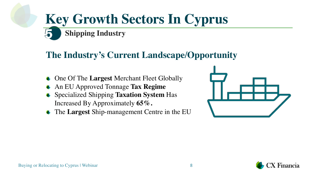### **Shipping Industry Key Growth Sectors In Cyprus**

### **The Industry's Current Landscape/Opportunity**

- One Of The **Largest** Merchant Fleet Globally
- An EU Approved Tonnage **Tax Regime**
- Specialized Shipping **Taxation System** Has Increased By Approximately **65%.**
- The **Largest** Ship-management Centre in the EU



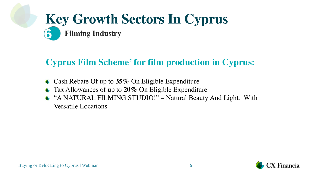## **Key Growth Sectors In Cyprus Filming Industry**

### **Cyprus Film Scheme' for film production in Cyprus:**

- Cash Rebate Of up to **35%** On Eligible Expenditure
- Tax Allowances of up to **20%** On Eligible Expenditure
- "A NATURAL FILMING STUDIO!" Natural Beauty And Light, With Versatile Locations

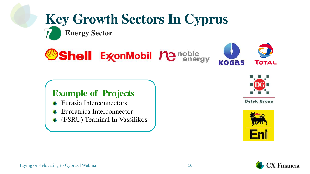**Energy Sector**





### **Example of Projects**

- Eurasia Interconnectors
- Euroafrica Interconnector
- (FSRU) Terminal In Vassilikos



**Delek Group** 



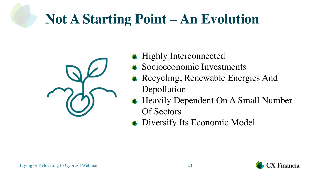# **Not A Starting Point – An Evolution**



- **◆ Highly Interconnected**
- Socioeconomic Investments
- Recycling, Renewable Energies And Depollution
- Heavily Dependent On A Small Number Of Sectors
- Diversify Its Economic Model

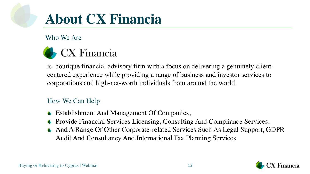## **About CX Financia**

Who We Are



is boutique financial advisory firm with a focus on delivering a genuinely clientcentered experience while providing a range of business and investor services to corporations and high-net-worth individuals from around the world.

#### How We Can Help

- Establishment And Management Of Companies,
- Provide Financial Services Licensing, Consulting And Compliance Services,
- And A Range Of Other Corporate-related Services Such As Legal Support, GDPR Audit And Consultancy And International Tax Planning Services